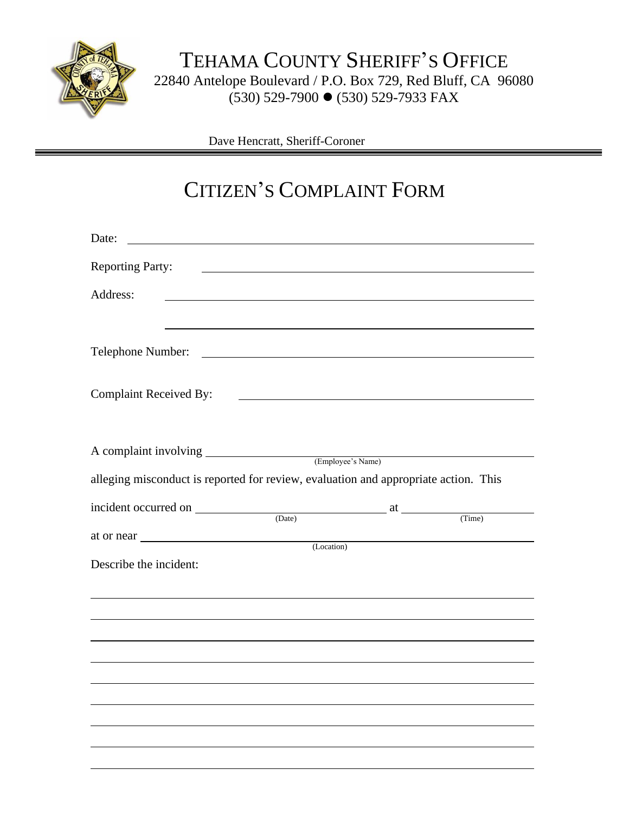

Dave Hencratt, Sheriff-Coroner

## CITIZEN'S COMPLAINT FORM

| Date:                         |                                                                                                                      |            |  |
|-------------------------------|----------------------------------------------------------------------------------------------------------------------|------------|--|
| <b>Reporting Party:</b>       | <u> Alexandria de la contrada de la contrada de la contrada de la contrada de la contrada de la contrada de la c</u> |            |  |
| Address:                      |                                                                                                                      |            |  |
|                               |                                                                                                                      |            |  |
|                               |                                                                                                                      |            |  |
| <b>Complaint Received By:</b> |                                                                                                                      |            |  |
|                               | A complaint involving (Employee's Name)                                                                              |            |  |
|                               |                                                                                                                      |            |  |
|                               | alleging misconduct is reported for review, evaluation and appropriate action. This                                  |            |  |
|                               | $\frac{1}{2}$ incident occurred on $\frac{1}{2}$ (Date) at $\frac{1}{2}$ (Time)                                      |            |  |
|                               |                                                                                                                      |            |  |
|                               |                                                                                                                      |            |  |
|                               |                                                                                                                      |            |  |
| Describe the incident:        |                                                                                                                      | (Location) |  |
|                               |                                                                                                                      |            |  |
|                               |                                                                                                                      |            |  |
|                               |                                                                                                                      |            |  |
|                               |                                                                                                                      |            |  |
|                               |                                                                                                                      |            |  |
|                               |                                                                                                                      |            |  |
|                               |                                                                                                                      |            |  |
|                               |                                                                                                                      |            |  |